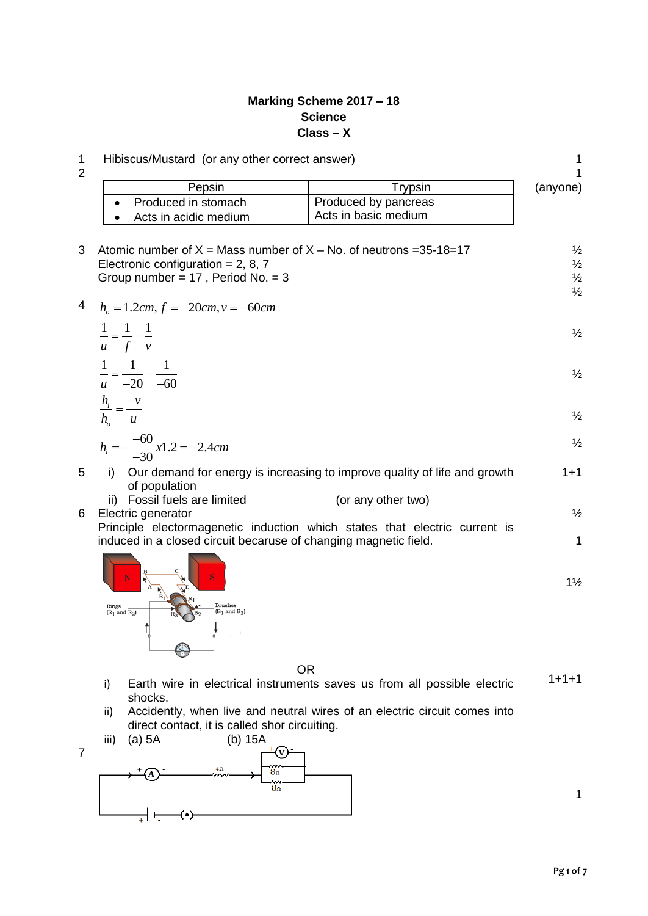## **Marking Scheme 2017 – 18 Science Class – X**

| Pepsin                                                                     | <b>Trypsin</b>                                                            | (anyone)       |
|----------------------------------------------------------------------------|---------------------------------------------------------------------------|----------------|
| Produced in stomach                                                        | Produced by pancreas                                                      |                |
| Acts in acidic medium                                                      | Acts in basic medium                                                      |                |
|                                                                            | Atomic number of $X =$ Mass number of $X -$ No. of neutrons = 35-18=17    | $\frac{1}{2}$  |
| Electronic configuration = $2, 8, 7$                                       |                                                                           |                |
| Group number = $17$ , Period No. = 3                                       |                                                                           | $\frac{1}{2}$  |
|                                                                            |                                                                           | $\frac{1}{2}$  |
| $h_{0} = 1.2cm, f = -20cm, v = -60cm$                                      |                                                                           |                |
|                                                                            |                                                                           | $\frac{1}{2}$  |
| $\frac{1}{u} = \frac{1}{f} - \frac{1}{v}$                                  |                                                                           |                |
|                                                                            |                                                                           |                |
| $\frac{1}{u} = \frac{1}{-20} - \frac{1}{-60}$                              |                                                                           | $\frac{1}{2}$  |
|                                                                            |                                                                           |                |
| $\frac{h_i}{h_o} = \frac{-v}{u}$                                           |                                                                           | $\frac{1}{2}$  |
|                                                                            |                                                                           |                |
| $h_i = -\frac{-60}{-30}x1.2 = -2.4cm$                                      |                                                                           | $\frac{1}{2}$  |
| i)<br>of population                                                        | Our demand for energy is increasing to improve quality of life and growth | $1 + 1$        |
| Fossil fuels are limited<br>ii)                                            | (or any other two)                                                        |                |
| Electric generator                                                         |                                                                           | $\frac{1}{2}$  |
| Principle electormagenetic induction which states that electric current is |                                                                           |                |
| induced in a closed circuit becaruse of changing magnetic field.           |                                                                           |                |
|                                                                            |                                                                           |                |
|                                                                            |                                                                           | $1\frac{1}{2}$ |
|                                                                            |                                                                           |                |



OR

- $1+1+1$
- i) Earth wire in electrical instruments saves us from all possible electric shocks.
- ii) Accidently, when live and neutral wires of an electric circuit comes into direct contact, it is called shor circuiting.
- iii) (a) 5A (b) 15A





1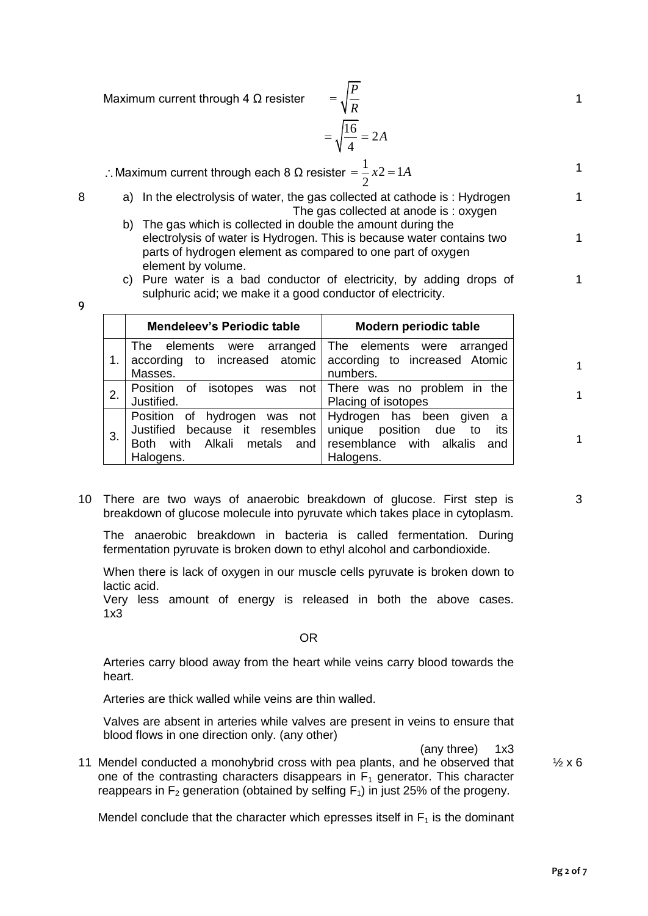Maximum current through 4  $\Omega$  resister

$$
= \sqrt{\frac{P}{R}}
$$

$$
= \sqrt{\frac{16}{4}} = 2A
$$

 $\therefore$  Maximum current through each 8 Ω resister  $\frac{1}{2}x^2 = 1$ 2  $=\frac{1}{2}x^2 = 1A$ 

- 
- 8 a) In the electrolysis of water, the gas collected at cathode is : Hydrogen The gas collected at anode is : oxygen b) The gas which is collected in double the amount during the
	- electrolysis of water is Hydrogen. This is because water contains two parts of hydrogen element as compared to one part of oxygen element by volume.
	- c) Pure water is a bad conductor of electricity, by adding drops of sulphuric acid; we make it a good conductor of electricity.

| ٧<br>×<br>٩   |
|---------------|
|               |
| - 7<br>č<br>ĉ |
| I<br>×<br>۰,  |

|                  | <b>Mendeleev's Periodic table</b>                                                                                                  | Modern periodic table                                                                      |  |  |  |
|------------------|------------------------------------------------------------------------------------------------------------------------------------|--------------------------------------------------------------------------------------------|--|--|--|
|                  | The elements were arranged The elements were arranged<br>according to increased atomic according to increased Atomic<br>Masses.    | numbers.                                                                                   |  |  |  |
| $\overline{2}$ . | Position of isotopes was not   There was no problem in the<br>Justified.                                                           | Placing of isotopes                                                                        |  |  |  |
| 3.               | Position of hydrogen was not Hydrogen has been given<br>Justified because it resembles unique position due to<br>Both<br>Halogens. | <sub>a</sub><br>its<br>with Alkali metals and resemblance with alkalis<br>and<br>Halogens. |  |  |  |

10 There are two ways of anaerobic breakdown of glucose. First step is breakdown of glucose molecule into pyruvate which takes place in cytoplasm.

The anaerobic breakdown in bacteria is called fermentation. During fermentation pyruvate is broken down to ethyl alcohol and carbondioxide.

When there is lack of oxygen in our muscle cells pyruvate is broken down to lactic acid.

Very less amount of energy is released in both the above cases. 1x3

OR

Arteries carry blood away from the heart while veins carry blood towards the heart.

Arteries are thick walled while veins are thin walled.

Valves are absent in arteries while valves are present in veins to ensure that blood flows in one direction only. (any other)

(any three) 1x3

11 Mendel conducted a monohybrid cross with pea plants, and he observed that one of the contrasting characters disappears in  $F_1$  generator. This character reappears in  $F_2$  generation (obtained by selfing  $F_1$ ) in just 25% of the progeny.

Mendel conclude that the character which epresses itself in  $F_1$  is the dominant

 $\frac{1}{2}x6$ 

1

1

1

1

1

1

1

1

3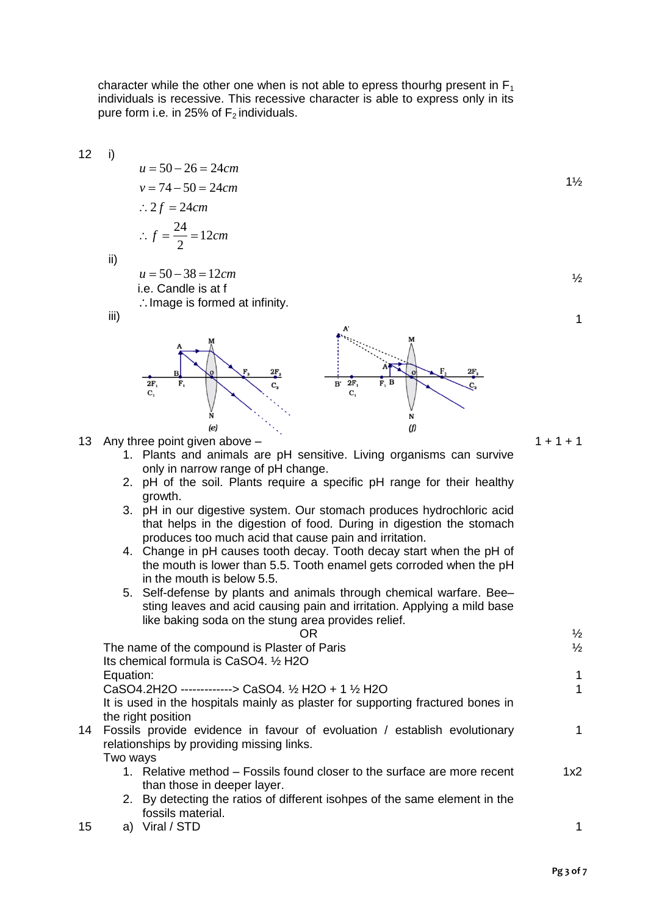character while the other one when is not able to epress thourhg present in  $F_1$ individuals is recessive. This recessive character is able to express only in its pure form i.e. in 25% of  $F_2$  individuals.

12 i)

$$
u = 50 - 26 = 24cm
$$
  
\n
$$
v = 74 - 50 = 24cm
$$
  
\n∴ 2f = 24cm  
\n∴ f =  $\frac{24}{2}$  = 12cm

ii)

 $u = 50 - 38 = 12$  cm i.e. Candle is at f  $\therefore$  Image is formed at infinity.

iii)



13 Any three point given above –

- 1. Plants and animals are pH sensitive. Living organisms can survive only in narrow range of pH change.
- 2. pH of the soil. Plants require a specific pH range for their healthy growth.
- 3. pH in our digestive system. Our stomach produces hydrochloric acid that helps in the digestion of food. During in digestion the stomach produces too much acid that cause pain and irritation.
- 4. Change in pH causes tooth decay. Tooth decay start when the pH of the mouth is lower than 5.5. Tooth enamel gets corroded when the pH in the mouth is below 5.5.
- 5. Self-defense by plants and animals through chemical warfare. Bee– sting leaves and acid causing pain and irritation. Applying a mild base like baking soda on the stung area provides relief.

| ΟR                                                                              | $\frac{1}{2}$ |
|---------------------------------------------------------------------------------|---------------|
| The name of the compound is Plaster of Paris                                    | $\frac{1}{2}$ |
| Its chemical formula is CaSO4. 1/2 H2O                                          |               |
| Equation:                                                                       | 1             |
| CaSO4.2H2O -------------> CaSO4. 1/2 H2O + 1 1/2 H2O                            |               |
| It is used in the hospitals mainly as plaster for supporting fractured bones in |               |
| the right position                                                              |               |
| 14 Fossils provide evidence in favour of evoluation / establish evolutionary    |               |
| relationships by providing missing links.                                       |               |
| Two ways                                                                        |               |
| 1. Relative method – Fossils found closer to the surface are more recent        | 1x2           |
| than those in deeper layer.                                                     |               |
| 2. By detecting the ratios of different isohpes of the same element in the      |               |
| fossils material.                                                               |               |

15 a) Viral / STD 1

1½

 $\frac{1}{2}$ 

1

 $1 + 1 + 1$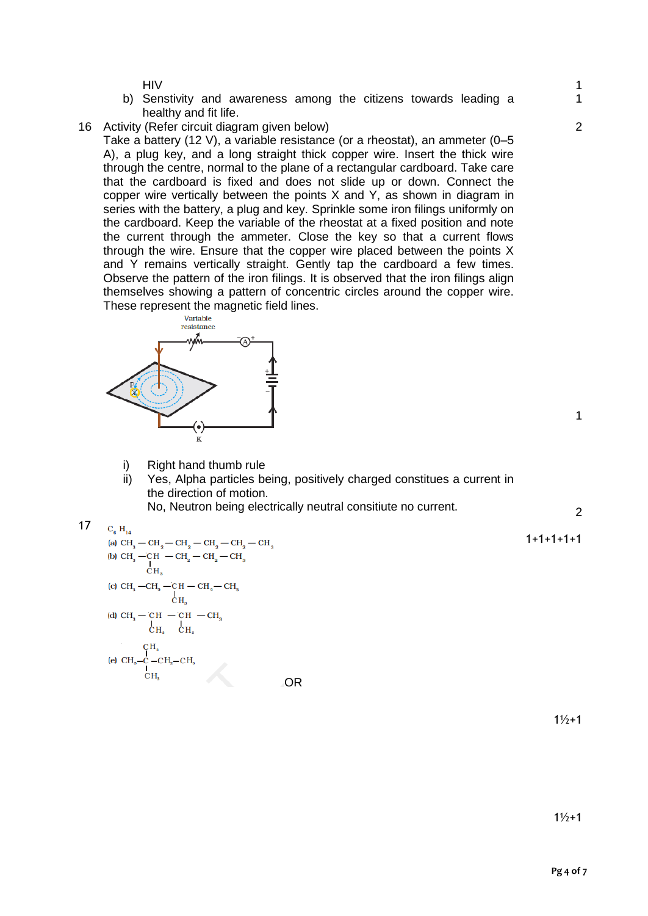HIV

- b) Senstivity and awareness among the citizens towards leading a healthy and fit life.
- 16 Activity (Refer circuit diagram given below)

Take a battery (12 V), a variable resistance (or a rheostat), an ammeter (0–5 A), a plug key, and a long straight thick copper wire. Insert the thick wire through the centre, normal to the plane of a rectangular cardboard. Take care that the cardboard is fixed and does not slide up or down. Connect the copper wire vertically between the points X and Y, as shown in diagram in series with the battery, a plug and key. Sprinkle some iron filings uniformly on the cardboard. Keep the variable of the rheostat at a fixed position and note the current through the ammeter. Close the key so that a current flows through the wire. Ensure that the copper wire placed between the points X and Y remains vertically straight. Gently tap the cardboard a few times. Observe the pattern of the iron filings. It is observed that the iron filings align themselves showing a pattern of concentric circles around the copper wire. These represent the magnetic field lines.



- i) Right hand thumb rule
- ii) Yes, Alpha particles being, positively charged constitues a current in the direction of motion.

No, Neutron being electrically neutral consitiute no current.

17 
$$
C_{6} H_{14}
$$

\n
$$
\text{[a) } \text{CH}_3 - \text{CH}_2 - \text{CH}_2 - \text{CH}_2 - \text{CH}_3
$$
\n

\n\n $\text{[b) } \text{CH}_3 - \text{CH}_2 - \text{CH}_2 - \text{CH}_2 - \text{CH}_3$ \n

\n\n $\begin{bmatrix}\n \text{[c) } \text{CH}_3 - \text{CH}_2 - \text{CH}_2 - \text{CH}_3 \\
\text{[d] } \text{CH}_3 - \text{CH}_2 - \text{CH}_2 - \text{CH}_3 \\
\text{[e] } \text{CH}_3 - \text{CH}_2 - \text{CH}_1 - \text{CH}_3\n \end{bmatrix}$ \n

\n\n $\text{[d) } \text{CH}_3 - \text{CH}_2 - \text{CH}_3 - \text{CH}_3$ \n

\n\n $\begin{bmatrix}\n \text{[c] } \text{C} \text{H}_3 & \text{[c] } \text{H}_3 \\
\text{[d] } \text{C} \text{H}_3 - \text{C}_2 - \text{CH}_2 - \text{CH}_3 \\
\text{[e) } \text{CH}_3 - \text{C}_2 - \text{CH}_2 - \text{CH}_3 \\
\text{[e] } \text{CH}_3 - \text{C}_3 - \text{CH}_2 - \text{CH}_3\n \end{bmatrix}$ \n

1

1

 $\overline{2}$ 

1

2

 $1\frac{1}{2}+1$ 

 $1\frac{1}{2}+1$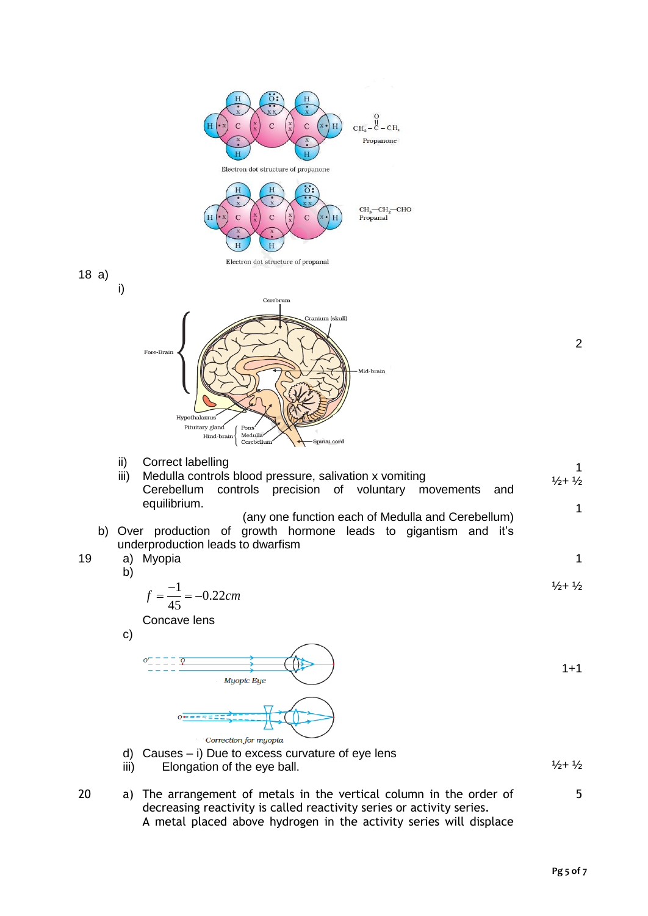

**Pg 5 of 7**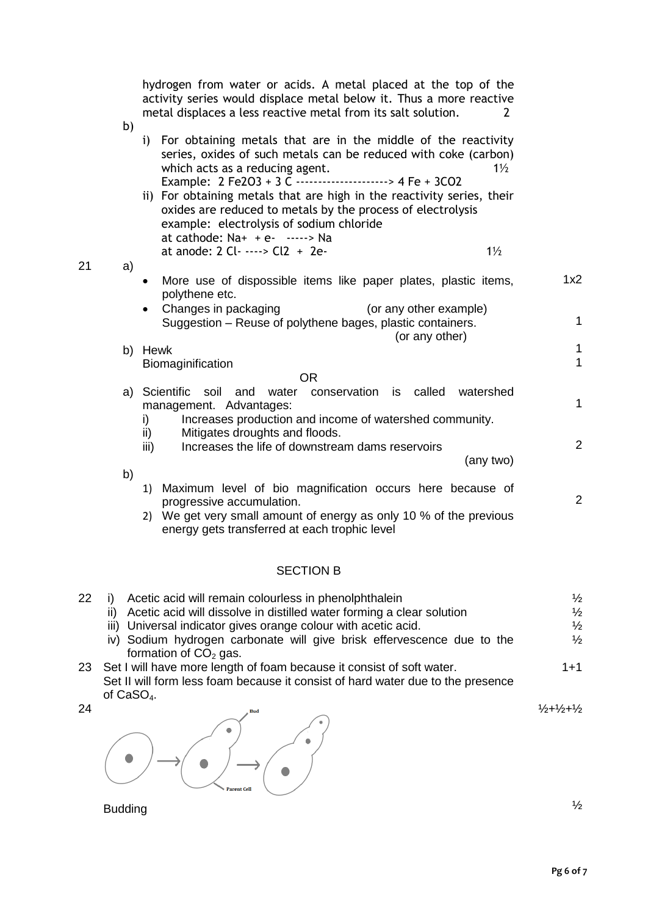|    |    | hydrogen from water or acids. A metal placed at the top of the<br>activity series would displace metal below it. Thus a more reactive<br>metal displaces a less reactive metal from its salt solution.<br>2                                                                                                                                                                                                                                                                    |              |
|----|----|--------------------------------------------------------------------------------------------------------------------------------------------------------------------------------------------------------------------------------------------------------------------------------------------------------------------------------------------------------------------------------------------------------------------------------------------------------------------------------|--------------|
|    | b) | i) For obtaining metals that are in the middle of the reactivity<br>series, oxides of such metals can be reduced with coke (carbon)<br>which acts as a reducing agent.<br>$1\frac{1}{2}$<br>Example: 2 Fe2O3 + 3 C ---------------------> 4 Fe + 3CO2<br>ii) For obtaining metals that are high in the reactivity series, their<br>oxides are reduced to metals by the process of electrolysis<br>example: electrolysis of sodium chloride<br>at cathode: $Na+ + e-$ -----> Na |              |
| 21 | a) | at anode: 2 Cl -----> Cl2 + 2e-<br>$1\frac{1}{2}$                                                                                                                                                                                                                                                                                                                                                                                                                              |              |
|    |    | More use of dispossible items like paper plates, plastic items,<br>$\bullet$<br>polythene etc.                                                                                                                                                                                                                                                                                                                                                                                 | 1x2          |
|    |    | Changes in packaging<br>(or any other example)<br>Suggestion – Reuse of polythene bages, plastic containers.                                                                                                                                                                                                                                                                                                                                                                   | 1            |
|    |    | (or any other)<br>b) Hewk                                                                                                                                                                                                                                                                                                                                                                                                                                                      | 1            |
|    |    | Biomaginification                                                                                                                                                                                                                                                                                                                                                                                                                                                              | $\mathbf{1}$ |
|    |    | <b>OR</b>                                                                                                                                                                                                                                                                                                                                                                                                                                                                      |              |
|    |    | conservation is called<br>a) Scientific<br>soil<br>water<br>watershed<br>and<br>management. Advantages:<br>Increases production and income of watershed community.<br>i)                                                                                                                                                                                                                                                                                                       | $\mathbf{1}$ |
|    |    | Mitigates droughts and floods.<br>$\mathsf{ii}$<br>Increases the life of downstream dams reservoirs<br>iii)<br>(any two)                                                                                                                                                                                                                                                                                                                                                       | 2            |
|    | b) | 1) Maximum level of bio magnification occurs here because of<br>progressive accumulation.<br>2) We get very small amount of energy as only 10 % of the previous<br>energy gets transferred at each trophic level                                                                                                                                                                                                                                                               | 2            |
|    |    | <b>SECTION B</b>                                                                                                                                                                                                                                                                                                                                                                                                                                                               |              |

| 22 | Acetic acid will remain colourless in phenolphthalein                                           | $\frac{1}{2}$                             |
|----|-------------------------------------------------------------------------------------------------|-------------------------------------------|
|    | ii) Acetic acid will dissolve in distilled water forming a clear solution                       | $\frac{1}{2}$                             |
|    | iii) Universal indicator gives orange colour with acetic acid.                                  | $\frac{1}{2}$                             |
|    | iv) Sodium hydrogen carbonate will give brisk effervescence due to the                          | $\frac{1}{2}$                             |
|    | formation of $CO2$ gas.                                                                         |                                           |
|    | 23 Set I will have more length of foam because it consist of soft water.                        | $1 + 1$                                   |
|    | Set II will form less foam because it consist of hard water due to the presence<br>of $CaSO4$ . |                                           |
| 24 |                                                                                                 | $\frac{1}{2} + \frac{1}{2} + \frac{1}{2}$ |



Budding

½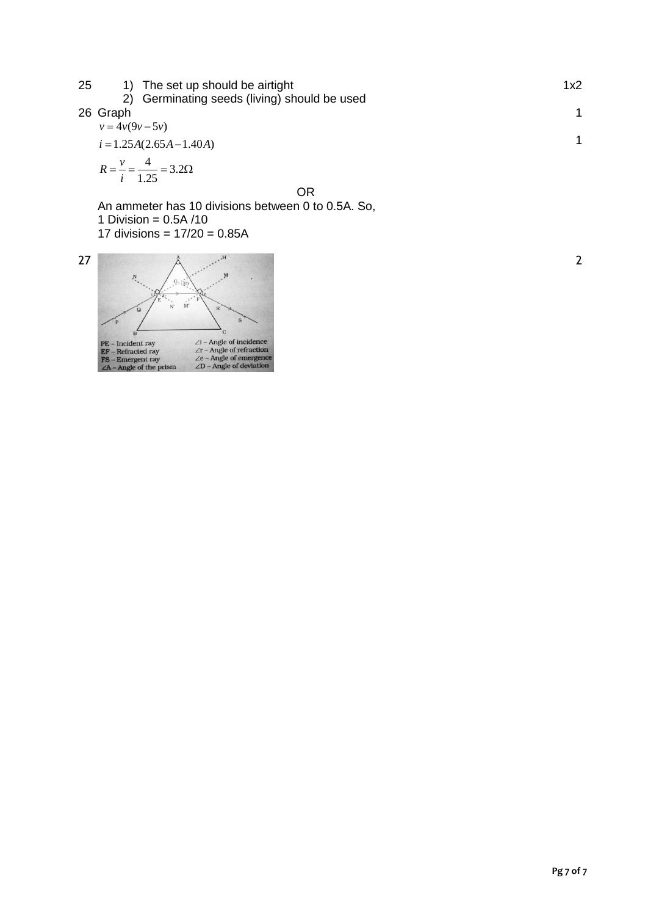| 25 | 1) The set up should be airtight               | 1x2 |
|----|------------------------------------------------|-----|
|    | 2) Germinating seeds (living) should be used   |     |
|    | 26 Graph                                       |     |
|    | $v = 4v(9v - 5v)$                              |     |
|    | $i = 1.25A(2.65A - 1.40A)$                     |     |
|    | $R = \frac{v}{i} = \frac{4}{1.25} = 3.2\Omega$ |     |
|    | --                                             |     |

OR

An ammeter has 10 divisions between 0 to 0.5A. So, 1 Division =  $0.5A/10$ 17 divisions = 17/20 = 0.85A